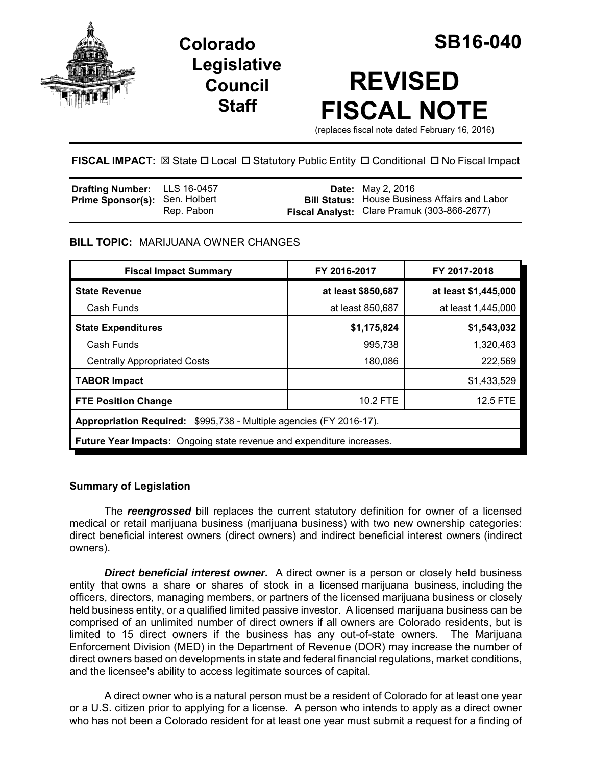

# **Legislative Council Staff**



# **REVISED FISCAL NOTE**

(replaces fiscal note dated February 16, 2016)

**FISCAL IMPACT:** ⊠ State □ Local □ Statutory Public Entity □ Conditional □ No Fiscal Impact

| <b>Drafting Number:</b> LLS 16-0457   |            | <b>Date:</b> May 2, 2016                             |
|---------------------------------------|------------|------------------------------------------------------|
| <b>Prime Sponsor(s): Sen. Holbert</b> |            | <b>Bill Status:</b> House Business Affairs and Labor |
|                                       | Rep. Pabon | Fiscal Analyst: Clare Pramuk (303-866-2677)          |

# **BILL TOPIC:** MARIJUANA OWNER CHANGES

| <b>Fiscal Impact Summary</b>                                          | FY 2016-2017       | FY 2017-2018         |  |  |
|-----------------------------------------------------------------------|--------------------|----------------------|--|--|
| <b>State Revenue</b>                                                  | at least \$850,687 | at least \$1,445,000 |  |  |
| Cash Funds                                                            | at least 850,687   | at least 1,445,000   |  |  |
| <b>State Expenditures</b>                                             | \$1,175,824        | \$1,543,032          |  |  |
| Cash Funds                                                            | 995,738            | 1,320,463            |  |  |
| <b>Centrally Appropriated Costs</b>                                   | 180,086            | 222,569              |  |  |
| <b>TABOR Impact</b>                                                   |                    | \$1,433,529          |  |  |
| <b>FTE Position Change</b>                                            | 10.2 FTE           | 12.5 FTE             |  |  |
| Appropriation Required: \$995,738 - Multiple agencies (FY 2016-17).   |                    |                      |  |  |
| Future Year Impacts: Ongoing state revenue and expenditure increases. |                    |                      |  |  |

#### **Summary of Legislation**

The *reengrossed* bill replaces the current statutory definition for owner of a licensed medical or retail marijuana business (marijuana business) with two new ownership categories: direct beneficial interest owners (direct owners) and indirect beneficial interest owners (indirect owners).

*Direct beneficial interest owner.* A direct owner is a person or closely held business entity that owns a share or shares of stock in a licensed marijuana business, including the officers, directors, managing members, or partners of the licensed marijuana business or closely held business entity, or a qualified limited passive investor. A licensed marijuana business can be comprised of an unlimited number of direct owners if all owners are Colorado residents, but is limited to 15 direct owners if the business has any out-of-state owners. The Marijuana Enforcement Division (MED) in the Department of Revenue (DOR) may increase the number of direct owners based on developments in state and federal financial regulations, market conditions, and the licensee's ability to access legitimate sources of capital.

A direct owner who is a natural person must be a resident of Colorado for at least one year or a U.S. citizen prior to applying for a license. A person who intends to apply as a direct owner who has not been a Colorado resident for at least one year must submit a request for a finding of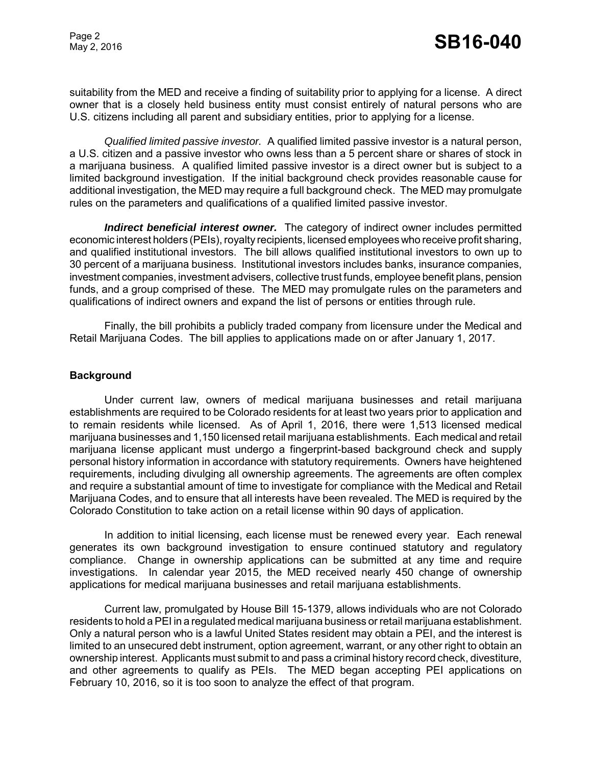suitability from the MED and receive a finding of suitability prior to applying for a license. A direct owner that is a closely held business entity must consist entirely of natural persons who are U.S. citizens including all parent and subsidiary entities, prior to applying for a license.

*Qualified limited passive investor.* A qualified limited passive investor is a natural person, a U.S. citizen and a passive investor who owns less than a 5 percent share or shares of stock in a marijuana business. A qualified limited passive investor is a direct owner but is subject to a limited background investigation. If the initial background check provides reasonable cause for additional investigation, the MED may require a full background check. The MED may promulgate rules on the parameters and qualifications of a qualified limited passive investor.

*Indirect beneficial interest owner.* The category of indirect owner includes permitted economic interest holders (PEIs), royalty recipients, licensed employees who receive profit sharing, and qualified institutional investors. The bill allows qualified institutional investors to own up to 30 percent of a marijuana business. Institutional investors includes banks, insurance companies, investment companies, investment advisers, collective trust funds, employee benefit plans, pension funds, and a group comprised of these. The MED may promulgate rules on the parameters and qualifications of indirect owners and expand the list of persons or entities through rule.

Finally, the bill prohibits a publicly traded company from licensure under the Medical and Retail Marijuana Codes. The bill applies to applications made on or after January 1, 2017.

#### **Background**

Under current law, owners of medical marijuana businesses and retail marijuana establishments are required to be Colorado residents for at least two years prior to application and to remain residents while licensed. As of April 1, 2016, there were 1,513 licensed medical marijuana businesses and 1,150 licensed retail marijuana establishments. Each medical and retail marijuana license applicant must undergo a fingerprint-based background check and supply personal history information in accordance with statutory requirements. Owners have heightened requirements, including divulging all ownership agreements. The agreements are often complex and require a substantial amount of time to investigate for compliance with the Medical and Retail Marijuana Codes, and to ensure that all interests have been revealed. The MED is required by the Colorado Constitution to take action on a retail license within 90 days of application.

In addition to initial licensing, each license must be renewed every year. Each renewal generates its own background investigation to ensure continued statutory and regulatory compliance. Change in ownership applications can be submitted at any time and require investigations. In calendar year 2015, the MED received nearly 450 change of ownership applications for medical marijuana businesses and retail marijuana establishments.

Current law, promulgated by House Bill 15-1379, allows individuals who are not Colorado residents to hold a PEI in a regulated medical marijuana business or retail marijuana establishment. Only a natural person who is a lawful United States resident may obtain a PEI, and the interest is limited to an unsecured debt instrument, option agreement, warrant, or any other right to obtain an ownership interest. Applicants must submit to and pass a criminal history record check, divestiture, and other agreements to qualify as PEIs. The MED began accepting PEI applications on February 10, 2016, so it is too soon to analyze the effect of that program.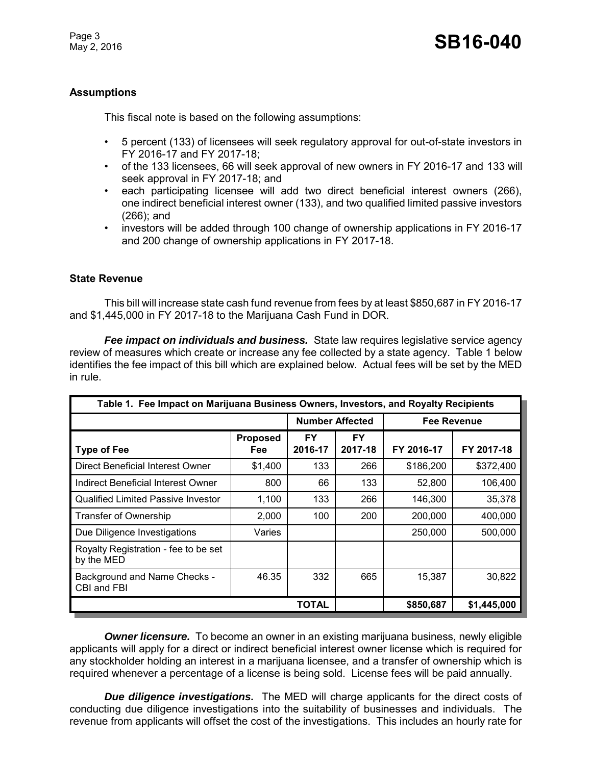# **Assumptions**

This fiscal note is based on the following assumptions:

- 5 percent (133) of licensees will seek regulatory approval for out-of-state investors in FY 2016-17 and FY 2017-18;
- of the 133 licensees, 66 will seek approval of new owners in FY 2016-17 and 133 will seek approval in FY 2017-18; and
- each participating licensee will add two direct beneficial interest owners (266), one indirect beneficial interest owner (133), and two qualified limited passive investors (266); and
- investors will be added through 100 change of ownership applications in FY 2016-17 and 200 change of ownership applications in FY 2017-18.

#### **State Revenue**

This bill will increase state cash fund revenue from fees by at least \$850,687 in FY 2016-17 and \$1,445,000 in FY 2017-18 to the Marijuana Cash Fund in DOR.

*Fee impact on individuals and business.* State law requires legislative service agency review of measures which create or increase any fee collected by a state agency. Table 1 below identifies the fee impact of this bill which are explained below. Actual fees will be set by the MED in rule.

| Table 1. Fee Impact on Marijuana Business Owners, Investors, and Royalty Recipients |                               |                                              |                      |            |             |
|-------------------------------------------------------------------------------------|-------------------------------|----------------------------------------------|----------------------|------------|-------------|
|                                                                                     |                               | <b>Number Affected</b><br><b>Fee Revenue</b> |                      |            |             |
| <b>Type of Fee</b>                                                                  | <b>Proposed</b><br><b>Fee</b> | <b>FY</b><br>2016-17                         | <b>FY</b><br>2017-18 | FY 2016-17 | FY 2017-18  |
| Direct Beneficial Interest Owner                                                    | \$1,400                       | 133                                          | 266                  | \$186,200  | \$372,400   |
| Indirect Beneficial Interest Owner                                                  | 800                           | 66                                           | 133                  | 52,800     | 106,400     |
| <b>Qualified Limited Passive Investor</b>                                           | 1.100                         | 133                                          | 266                  | 146,300    | 35,378      |
| Transfer of Ownership                                                               | 2,000                         | 100                                          | 200                  | 200,000    | 400,000     |
| Due Diligence Investigations                                                        | Varies                        |                                              |                      | 250,000    | 500,000     |
| Royalty Registration - fee to be set<br>by the MED                                  |                               |                                              |                      |            |             |
| <b>Background and Name Checks -</b><br>CBI and FBI                                  | 46.35                         | 332                                          | 665                  | 15,387     | 30,822      |
|                                                                                     |                               | <b>TOTAL</b>                                 |                      | \$850,687  | \$1,445,000 |

**Owner licensure.** To become an owner in an existing marijuana business, newly eligible applicants will apply for a direct or indirect beneficial interest owner license which is required for any stockholder holding an interest in a marijuana licensee, and a transfer of ownership which is required whenever a percentage of a license is being sold. License fees will be paid annually.

*Due diligence investigations.* The MED will charge applicants for the direct costs of conducting due diligence investigations into the suitability of businesses and individuals. The revenue from applicants will offset the cost of the investigations. This includes an hourly rate for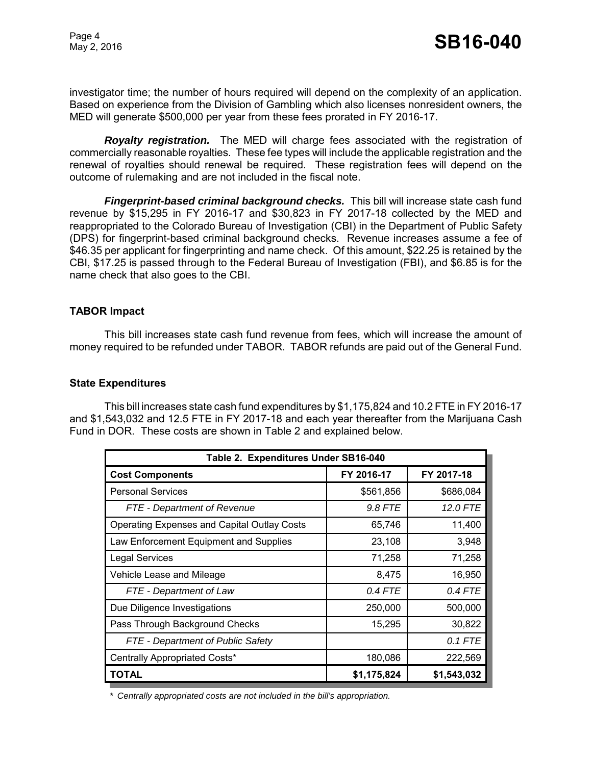investigator time; the number of hours required will depend on the complexity of an application. Based on experience from the Division of Gambling which also licenses nonresident owners, the MED will generate \$500,000 per year from these fees prorated in FY 2016-17.

*Royalty registration.* The MED will charge fees associated with the registration of commercially reasonable royalties. These fee types will include the applicable registration and the renewal of royalties should renewal be required. These registration fees will depend on the outcome of rulemaking and are not included in the fiscal note.

*Fingerprint-based criminal background checks.* This bill will increase state cash fund revenue by \$15,295 in FY 2016-17 and \$30,823 in FY 2017-18 collected by the MED and reappropriated to the Colorado Bureau of Investigation (CBI) in the Department of Public Safety (DPS) for fingerprint-based criminal background checks. Revenue increases assume a fee of \$46.35 per applicant for fingerprinting and name check. Of this amount, \$22.25 is retained by the CBI, \$17.25 is passed through to the Federal Bureau of Investigation (FBI), and \$6.85 is for the name check that also goes to the CBI.

# **TABOR Impact**

This bill increases state cash fund revenue from fees, which will increase the amount of money required to be refunded under TABOR. TABOR refunds are paid out of the General Fund.

#### **State Expenditures**

This bill increases state cash fund expenditures by \$1,175,824 and 10.2 FTE in FY 2016-17 and \$1,543,032 and 12.5 FTE in FY 2017-18 and each year thereafter from the Marijuana Cash Fund in DOR. These costs are shown in Table 2 and explained below.

| Table 2. Expenditures Under SB16-040               |             |             |  |  |
|----------------------------------------------------|-------------|-------------|--|--|
| <b>Cost Components</b>                             | FY 2016-17  | FY 2017-18  |  |  |
| <b>Personal Services</b>                           | \$561,856   | \$686,084   |  |  |
| FTE - Department of Revenue                        | 9.8 FTE     | 12.0 FTE    |  |  |
| <b>Operating Expenses and Capital Outlay Costs</b> | 65,746      | 11,400      |  |  |
| Law Enforcement Equipment and Supplies             | 23,108      | 3,948       |  |  |
| <b>Legal Services</b>                              | 71,258      | 71,258      |  |  |
| Vehicle Lease and Mileage                          | 8,475       | 16,950      |  |  |
| FTE - Department of Law                            | $0.4$ FTE   | 0.4 FTE     |  |  |
| Due Diligence Investigations                       | 250,000     | 500,000     |  |  |
| Pass Through Background Checks                     | 15,295      | 30,822      |  |  |
| FTE - Department of Public Safety                  |             | 0.1 FTE     |  |  |
| Centrally Appropriated Costs*                      | 180,086     | 222,569     |  |  |
| TOTAL                                              | \$1,175,824 | \$1,543,032 |  |  |

*\* Centrally appropriated costs are not included in the bill's appropriation.*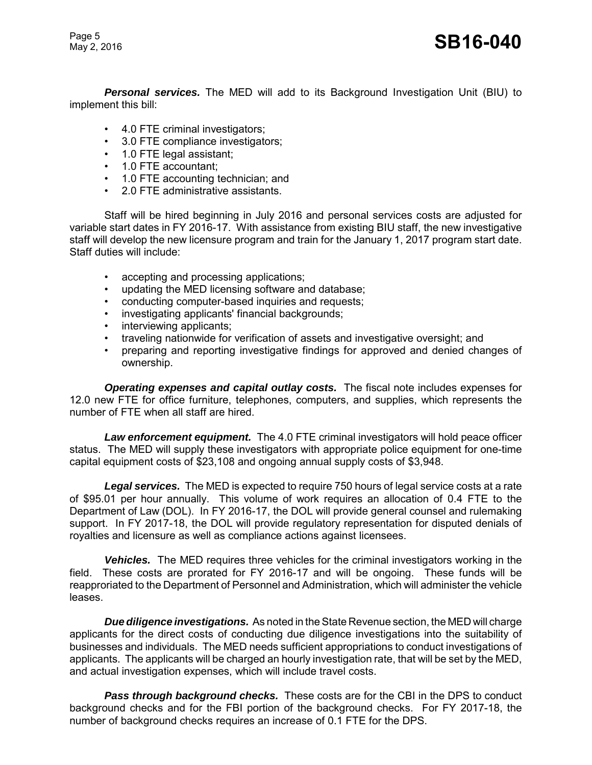Page 5

*Personal services.* The MED will add to its Background Investigation Unit (BIU) to implement this bill:

- 4.0 FTE criminal investigators;
- 3.0 FTE compliance investigators;
- 1.0 FTE legal assistant;
- 1.0 FTE accountant;
- 1.0 FTE accounting technician; and
- 2.0 FTE administrative assistants.

Staff will be hired beginning in July 2016 and personal services costs are adjusted for variable start dates in FY 2016-17. With assistance from existing BIU staff, the new investigative staff will develop the new licensure program and train for the January 1, 2017 program start date. Staff duties will include:

- accepting and processing applications;
- updating the MED licensing software and database;
- conducting computer-based inquiries and requests;
- investigating applicants' financial backgrounds;
- interviewing applicants;
- traveling nationwide for verification of assets and investigative oversight; and
- preparing and reporting investigative findings for approved and denied changes of ownership.

*Operating expenses and capital outlay costs.* The fiscal note includes expenses for 12.0 new FTE for office furniture, telephones, computers, and supplies, which represents the number of FTE when all staff are hired.

*Law enforcement equipment.* The 4.0 FTE criminal investigators will hold peace officer status. The MED will supply these investigators with appropriate police equipment for one-time capital equipment costs of \$23,108 and ongoing annual supply costs of \$3,948.

*Legal services.* The MED is expected to require 750 hours of legal service costs at a rate of \$95.01 per hour annually. This volume of work requires an allocation of 0.4 FTE to the Department of Law (DOL). In FY 2016-17, the DOL will provide general counsel and rulemaking support. In FY 2017-18, the DOL will provide regulatory representation for disputed denials of royalties and licensure as well as compliance actions against licensees.

*Vehicles.* The MED requires three vehicles for the criminal investigators working in the field. These costs are prorated for FY 2016-17 and will be ongoing. These funds will be reapproriated to the Department of Personnel and Administration, which will administer the vehicle leases.

*Due diligence investigations.* As noted in the State Revenue section, the MED will charge applicants for the direct costs of conducting due diligence investigations into the suitability of businesses and individuals. The MED needs sufficient appropriations to conduct investigations of applicants. The applicants will be charged an hourly investigation rate, that will be set by the MED, and actual investigation expenses, which will include travel costs.

*Pass through background checks.* These costs are for the CBI in the DPS to conduct background checks and for the FBI portion of the background checks. For FY 2017-18, the number of background checks requires an increase of 0.1 FTE for the DPS.